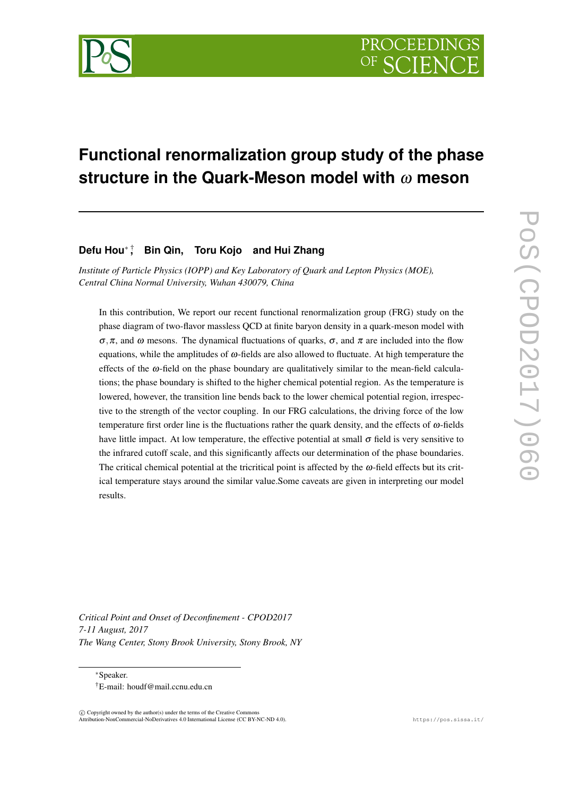

# **Functional renormalization group study of the phase structure in the Quark-Meson model with** <sup>ω</sup> **meson**

## **Defu Hou***<sup>∗</sup>* † **, Bin Qin, Toru Kojo and Hui Zhang**

*Institute of Particle Physics (IOPP) and Key Laboratory of Quark and Lepton Physics (MOE), Central China Normal University, Wuhan 430079, China*

In this contribution, We report our recent functional renormalization group (FRG) study on the phase diagram of two-flavor massless QCD at finite baryon density in a quark-meson model with  $\sigma$ ,  $\pi$ , and  $\omega$  mesons. The dynamical fluctuations of quarks,  $\sigma$ , and  $\pi$  are included into the flow equations, while the amplitudes of  $\omega$ -fields are also allowed to fluctuate. At high temperature the effects of the  $\omega$ -field on the phase boundary are qualitatively similar to the mean-field calculations; the phase boundary is shifted to the higher chemical potential region. As the temperature is lowered, however, the transition line bends back to the lower chemical potential region, irrespective to the strength of the vector coupling. In our FRG calculations, the driving force of the low temperature first order line is the fluctuations rather the quark density, and the effects of <sup>ω</sup>-fields have little impact. At low temperature, the effective potential at small  $\sigma$  field is very sensitive to the infrared cutoff scale, and this significantly affects our determination of the phase boundaries. The critical chemical potential at the tricritical point is affected by the  $\omega$ -field effects but its critical temperature stays around the similar value.Some caveats are given in interpreting our model results.

*Critical Point and Onset of Deconfinement - CPOD2017 7-11 August, 2017 The Wang Center, Stony Brook University, Stony Brook, NY*

*∗*Speaker. †E-mail: houdf@mail.ccnu.edu.cn

 $(\widehat{c})$  Copyright owned by the author(s) under the terms of the Creative Common Attribution-NonCommercial-NoDerivatives 4.0 International License (CC BY-NC-ND 4.0). https://pos.sissa.it/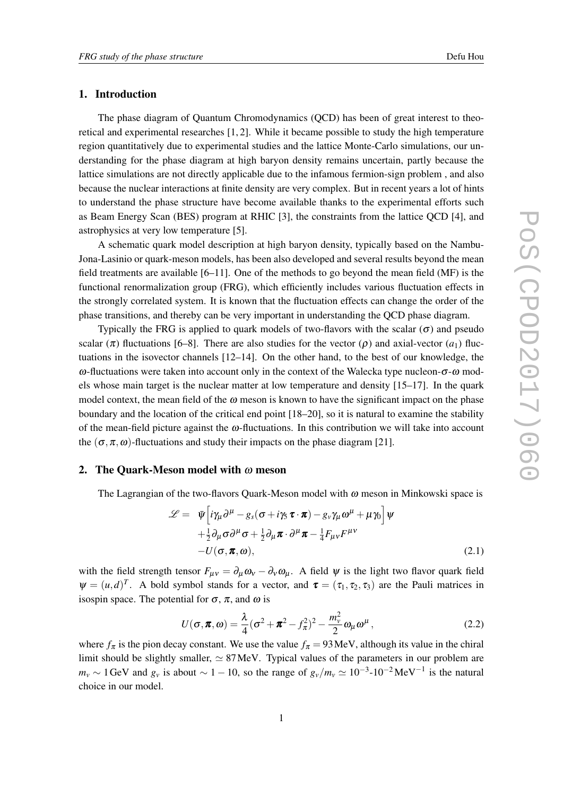#### <span id="page-1-0"></span>1. Introduction

The phase diagram of Quantum Chromodynamics (QCD) has been of great interest to theoretical and experimental researches [1, 2]. While it became possible to study the high temperature region quantitatively due to experimental studies and the lattice Monte-Carlo simulations, our understanding for the phase diagram at high baryon density remains uncertain, partly because the lattice simulations are not directly applicable due to the infamous fermion-sign problem , and also because the nuclear interactions at finite density are very complex. But in recent years a lot of hints to understand the phase structure have become available thanks to the experimental efforts such as Beam Energy Scan (BES) program at RHIC [3], the constraints from the lattice QCD [4], and astrophysics at very low temperature [5].

A schematic quark model description at high baryon density, typically based on the Nambu-Jona-Lasinio or quark-meson models, has been also developed and several results beyond the mean field treatments are available [6–11]. One of the methods to go beyond the mean field (MF) is the functional renormalization group (FRG), which efficiently includes various fluctuation effects in the strongly correlated system. It is known that the fluctuation effects can change the order of the phase transitions, and thereby can be very important in understanding the QCD phase diagram.

Typically the FRG is applied to quark models of two-flavors with the scalar  $(\sigma)$  and pseudo scalar ( $\pi$ ) fluctuations [6–8]. There are also studies for the vector ( $\rho$ ) and axial-vector ( $a_1$ ) fluctuations in the isovector channels [12–14]. On the other hand, to the best of our knowledge, the  $ω$ -fluctuations were taken into account only in the context of the Walecka type nucleon- $σ$ - $ω$  models whose main target is the nuclear matter at low temperature and density [15–17]. In the quark model context, the mean field of the  $\omega$  meson is known to have the significant impact on the phase boundary and the location of the critical end point [18–20], so it is natural to examine the stability of the mean-field picture against the  $\omega$ -fluctuations. In this contribution we will take into account the  $(\sigma, \pi, \omega)$ -fluctuations and study their impacts on the phase diagram [21].

## 2. The Quark-Meson model with  $\omega$  meson

The Lagrangian of the two-flavors Quark-Meson model with  $\omega$  meson in Minkowski space is

$$
\mathcal{L} = \bar{\psi} \Big[ i \gamma_{\mu} \partial^{\mu} - g_{s} (\sigma + i \gamma_{5} \boldsymbol{\tau} \cdot \boldsymbol{\pi}) - g_{v} \gamma_{\mu} \omega^{\mu} + \mu \gamma_{0} \Big] \psi + \frac{1}{2} \partial_{\mu} \sigma \partial^{\mu} \sigma + \frac{1}{2} \partial_{\mu} \boldsymbol{\pi} \cdot \partial^{\mu} \boldsymbol{\pi} - \frac{1}{4} F_{\mu v} F^{\mu v} - U(\sigma, \boldsymbol{\pi}, \omega), \qquad (2.1)
$$

with the field strength tensor  $F_{\mu\nu} = \partial_{\mu}\omega_{\nu} - \partial_{\nu}\omega_{\mu}$ . A field  $\psi$  is the light two flavor quark field  $\Psi = (u, d)^T$ . A bold symbol stands for a vector, and  $\tau = (\tau_1, \tau_2, \tau_3)$  are the Pauli matrices in isospin space. The potential for  $\sigma$ ,  $\pi$ , and  $\omega$  is

$$
U(\boldsymbol{\sigma}, \boldsymbol{\pi}, \boldsymbol{\omega}) = \frac{\lambda}{4} (\boldsymbol{\sigma}^2 + \boldsymbol{\pi}^2 - f_{\boldsymbol{\pi}}^2)^2 - \frac{m_v^2}{2} \omega_\mu \omega^\mu, \qquad (2.2)
$$

where  $f_{\pi}$  is the pion decay constant. We use the value  $f_{\pi} = 93$  MeV, although its value in the chiral limit should be slightly smaller, *≃* 87MeV. Typical values of the parameters in our problem are *m*<sup>*v*</sup>  $\sim$  1 GeV and *g*<sup>*v*</sup> is about  $\sim$  1 − 10, so the range of  $g_v/m_v \approx 10^{-3}$ -10<sup>-2</sup> MeV<sup>−1</sup> is the natural choice in our model.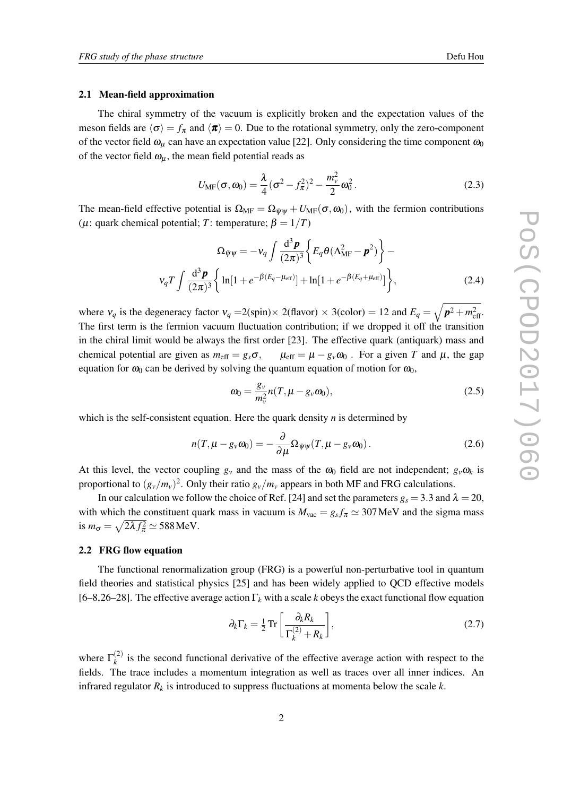#### <span id="page-2-0"></span>2.1 Mean-field approximation

The chiral symmetry of the vacuum is explicitly broken and the expectation values of the meson fields are  $\langle \sigma \rangle = f_{\pi}$  and  $\langle \pi \rangle = 0$ . Due to the rotational symmetry, only the zero-component of the vector field  $\omega_{\mu}$  can have an expectation value [22]. Only considering the time component  $\omega_0$ of the vector field  $\omega_{\mu}$ , the mean field potential reads as

$$
U_{\text{MF}}(\sigma, \omega_0) = \frac{\lambda}{4} (\sigma^2 - f_{\pi}^2)^2 - \frac{m_v^2}{2} \omega_0^2.
$$
 (2.3)

The mean-field effective potential is  $\Omega_{MF} = \Omega_{\bar{\Psi}\Psi} + U_{MF}(\sigma, \omega_0)$ , with the fermion contributions ( $\mu$ : quark chemical potential; *T*: temperature;  $\beta = 1/T$ )

$$
\Omega_{\bar{\psi}\psi} = -\nu_q \int \frac{\mathrm{d}^3 \mathbf{p}}{(2\pi)^3} \left\{ E_q \theta (\Lambda_{\mathrm{MF}}^2 - \mathbf{p}^2) \right\} - \nu_q T \int \frac{\mathrm{d}^3 \mathbf{p}}{(2\pi)^3} \left\{ \ln[1 + e^{-\beta(E_q - \mu_{\mathrm{eff}})}] + \ln[1 + e^{-\beta(E_q + \mu_{\mathrm{eff}})}] \right\},\tag{2.4}
$$

where  $v_q$  is the degeneracy factor  $v_q = 2(\text{spin}) \times 2(\text{flavor}) \times 3(\text{color}) = 12$  and  $E_q = \sqrt{p^2 + m_{\text{eff}}^2}$ . The first term is the fermion vacuum fluctuation contribution; if we dropped it off the transition in the chiral limit would be always the first order [23]. The effective quark (antiquark) mass and chemical potential are given as  $m_{\text{eff}} = g_s \sigma$ ,  $\mu_{\text{eff}} = \mu - g_v \omega_0$ . For a given *T* and  $\mu$ , the gap equation for  $\omega_0$  can be derived by solving the quantum equation of motion for  $\omega_0$ ,

$$
\omega_0 = \frac{g_v}{m_v^2} n(T, \mu - g_v \omega_0), \qquad (2.5)
$$

which is the self-consistent equation. Here the quark density *n* is determined by

$$
n(T, \mu - g_{\nu}\omega_0) = -\frac{\partial}{\partial \mu}\Omega_{\bar{\psi}\psi}(T, \mu - g_{\nu}\omega_0).
$$
 (2.6)

At this level, the vector coupling  $g_y$  and the mass of the  $\omega_0$  field are not independent;  $g_y \omega_k$  is proportional to  $(g_v/m_v)^2$ . Only their ratio  $g_v/m_v$  appears in both MF and FRG calculations.

In our calculation we follow the choice of Ref. [24] and set the parameters  $g_s = 3.3$  and  $\lambda = 20$ , with which the constituent quark mass in vacuum is  $M_{\text{vac}} = g_s f_\pi \simeq 307 \text{ MeV}$  and the sigma mass is  $m_{\sigma} = \sqrt{2\lambda f_{\pi}^2} \simeq 588 \,\text{MeV}.$ 

#### 2.2 FRG flow equation

The functional renormalization group (FRG) is a powerful non-perturbative tool in quantum field theories and statistical physics [25] and has been widely applied to QCD effective models [6–8,26–28]. The effective average action Γ*<sup>k</sup>* with a scale *k* obeys the exact functional flow equation

$$
\partial_k \Gamma_k = \frac{1}{2} \operatorname{Tr} \left[ \frac{\partial_k R_k}{\Gamma_k^{(2)} + R_k} \right],\tag{2.7}
$$

where  $\Gamma_k^{(2)}$  $\binom{1}{k}$  is the second functional derivative of the effective average action with respect to the fields. The trace includes a momentum integration as well as traces over all inner indices. An infrared regulator *R<sup>k</sup>* is introduced to suppress fluctuations at momenta below the scale *k*.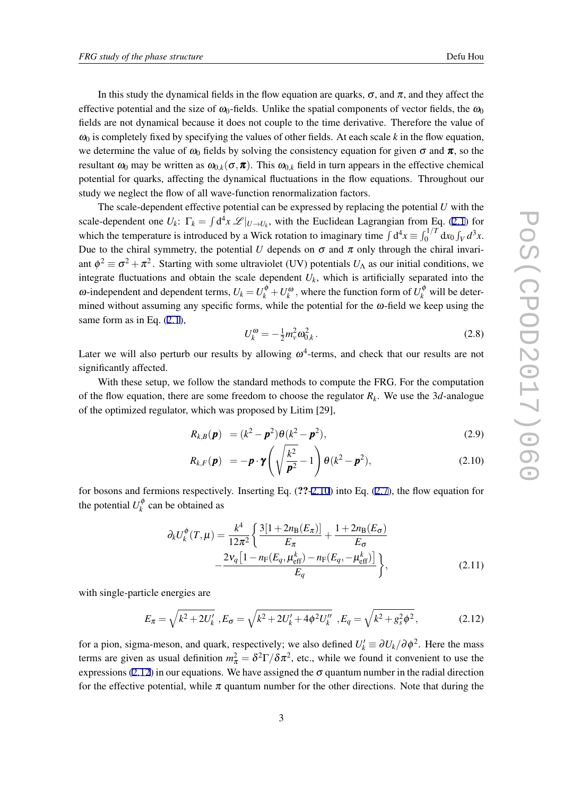<span id="page-3-0"></span>In this study the dynamical fields in the flow equation are quarks,  $\sigma$ , and  $\pi$ , and they affect the effective potential and the size of  $\omega_0$ -fields. Unlike the spatial components of vector fields, the  $\omega_0$ fields are not dynamical because it does not couple to the time derivative. Therefore the value of  $\omega_0$  is completely fixed by specifying the values of other fields. At each scale *k* in the flow equation, we determine the value of  $\omega_0$  fields by solving the consistency equation for given  $\sigma$  and  $\pi$ , so the resultant  $\omega_0$  may be written as  $\omega_{0,k}(\sigma, \pi)$ . This  $\omega_{0,k}$  field in turn appears in the effective chemical potential for quarks, affecting the dynamical fluctuations in the flow equations. Throughout our study we neglect the flow of all wave-function renormalization factors.

The scale-dependent effective potential can be expressed by replacing the potential *U* with the scale-dependent one  $U_k$ :  $\Gamma_k = \int d^4x \mathcal{L}|_{U \to U_k}$ , with the Euclidean Lagrangian from Eq. [\(2.1\)](#page-1-0) for which the temperature is introduced by a Wick rotation to imaginary time  $\int d^4x \equiv \int_0^{1/T} dx_0 \int_V d^3x$ . Due to the chiral symmetry, the potential *U* depends on  $\sigma$  and  $\pi$  only through the chiral invariant  $\phi^2 \equiv \sigma^2 + \pi^2$ . Starting with some ultraviolet (UV) potentials  $U_\Lambda$  as our initial conditions, we integrate fluctuations and obtain the scale dependent *Uk*, which is artificially separated into the ω-independent and dependent terms,  $U_k = U_k^{\phi} + U_k^{\omega}$ , where the function form of  $U_k^{\phi}$  will be determined without assuming any specific forms, while the potential for the  $\omega$ -field we keep using the same form as in Eq.  $(2.1)$  $(2.1)$  $(2.1)$ ,

$$
U_k^{\omega} = -\frac{1}{2} m_v^2 \omega_{0,k}^2. \tag{2.8}
$$

Later we will also perturb our results by allowing  $\omega^4$ -terms, and check that our results are not significantly affected.

With these setup, we follow the standard methods to compute the FRG. For the computation of the flow equation, there are some freedom to choose the regulator  $R_k$ . We use the 3*d*-analogue of the optimized regulator, which was proposed by Litim [29],

$$
R_{k,B}(\mathbf{p}) = (k^2 - \mathbf{p}^2) \theta (k^2 - \mathbf{p}^2),
$$
 (2.9)

$$
R_{k,F}(\boldsymbol{p}) = -\boldsymbol{p} \cdot \boldsymbol{\gamma} \left( \sqrt{\frac{k^2}{\boldsymbol{p}^2}} - 1 \right) \theta(k^2 - \boldsymbol{p}^2), \qquad (2.10)
$$

for bosons and fermions respectively. Inserting Eq. (??-2.10) into Eq. ([2.7\)](#page-2-0), the flow equation for the potential  $U_k^{\phi}$  $\kappa_k^{\phi}$  can be obtained as

$$
\partial_{k}U_{k}^{\phi}(T,\mu) = \frac{k^{4}}{12\pi^{2}} \left\{ \frac{3[1+2n_{B}(E_{\pi})]}{E_{\pi}} + \frac{1+2n_{B}(E_{\sigma})}{E_{\sigma}} - \frac{2v_{q}[1-n_{F}(E_{q},\mu_{eff}^{k}) - n_{F}(E_{q},-\mu_{eff}^{k})]}{E_{q}} \right\},
$$
\n(2.11)

with single-particle energies are

$$
E_{\pi} = \sqrt{k^2 + 2U'_k}, E_{\sigma} = \sqrt{k^2 + 2U'_k + 4\phi^2 U''_k}, E_q = \sqrt{k^2 + g_s^2 \phi^2},
$$
 (2.12)

for a pion, sigma-meson, and quark, respectively; we also defined  $U'_k \equiv \partial U_k / \partial \phi^2$ . Here the mass terms are given as usual definition  $m_{\pi}^2 = \delta^2 \Gamma / \delta \pi^2$ , etc., while we found it convenient to use the expressions (2.12) in our equations. We have assigned the  $\sigma$  quantum number in the radial direction for the effective potential, while  $\pi$  quantum number for the other directions. Note that during the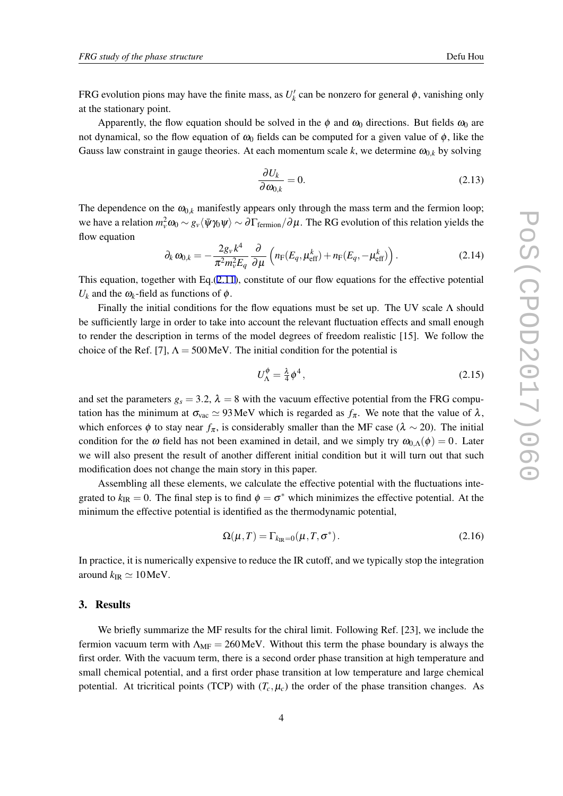FRG evolution pions may have the finite mass, as  $U'_{k}$  can be nonzero for general  $\phi$ , vanishing only at the stationary point.

Apparently, the flow equation should be solved in the  $\phi$  and  $\omega_0$  directions. But fields  $\omega_0$  are not dynamical, so the flow equation of  $\omega_0$  fields can be computed for a given value of  $\phi$ , like the Gauss law constraint in gauge theories. At each momentum scale  $k$ , we determine  $\omega_{0,k}$  by solving

$$
\frac{\partial U_k}{\partial \omega_{0,k}} = 0. \tag{2.13}
$$

The dependence on the  $\omega_{0,k}$  manifestly appears only through the mass term and the fermion loop; we have a relation  $m_v^2 \omega_0 \sim g_v\langle\bar{\psi}\gamma_0\psi\rangle \sim \partial\Gamma_{\rm fermion}/\partial\mu$ . The RG evolution of this relation yields the flow equation

$$
\partial_k \omega_{0,k} = -\frac{2g_v k^4}{\pi^2 m_v^2 E_q} \frac{\partial}{\partial \mu} \left( n_F(E_q, \mu_{\text{eff}}^k) + n_F(E_q, -\mu_{\text{eff}}^k) \right). \tag{2.14}
$$

This equation, together with Eq. $(2.11)$  $(2.11)$ , constitute of our flow equations for the effective potential  $U_k$  and the  $\omega_k$ -field as functions of  $\phi$ .

Finally the initial conditions for the flow equations must be set up. The UV scale  $\Lambda$  should be sufficiently large in order to take into account the relevant fluctuation effects and small enough to render the description in terms of the model degrees of freedom realistic [15]. We follow the choice of the Ref. [7],  $\Lambda = 500 \,\text{MeV}$ . The initial condition for the potential is

$$
U_{\Lambda}^{\phi} = \frac{\lambda}{4} \phi^4, \qquad (2.15)
$$

and set the parameters  $g_s = 3.2$ ,  $\lambda = 8$  with the vacuum effective potential from the FRG computation has the minimum at  $\sigma_{\text{vac}} \simeq 93 \text{ MeV}$  which is regarded as  $f_{\pi}$ . We note that the value of  $\lambda$ , which enforces  $\phi$  to stay near  $f_\pi$ , is considerably smaller than the MF case ( $\lambda \sim 20$ ). The initial condition for the  $\omega$  field has not been examined in detail, and we simply try  $\omega_{0,\Lambda}(\phi) = 0$ . Later we will also present the result of another different initial condition but it will turn out that such modification does not change the main story in this paper.

Assembling all these elements, we calculate the effective potential with the fluctuations integrated to  $k_{IR} = 0$ . The final step is to find  $\phi = \sigma^*$  which minimizes the effective potential. At the minimum the effective potential is identified as the thermodynamic potential,

$$
\Omega(\mu, T) = \Gamma_{k_{\rm IR}=0}(\mu, T, \sigma^*).
$$
\n(2.16)

In practice, it is numerically expensive to reduce the IR cutoff, and we typically stop the integration around  $k_{\text{IR}} \simeq 10 \text{MeV}$ .

## 3. Results

We briefly summarize the MF results for the chiral limit. Following Ref. [23], we include the fermion vacuum term with  $\Lambda_{MF} = 260$  MeV. Without this term the phase boundary is always the first order. With the vacuum term, there is a second order phase transition at high temperature and small chemical potential, and a first order phase transition at low temperature and large chemical potential. At tricritical points (TCP) with  $(T_c, \mu_c)$  the order of the phase transition changes. As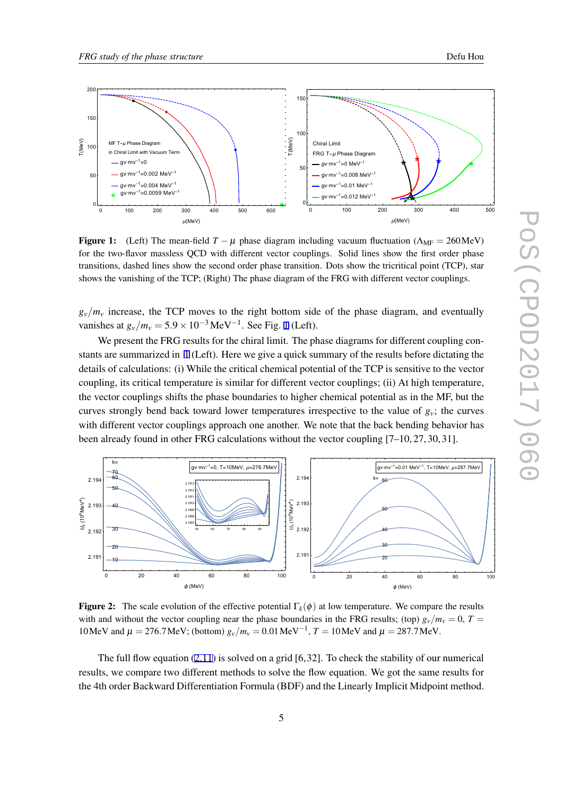<span id="page-5-0"></span>



**Figure 1:** (Left) The mean-field  $T - \mu$  phase diagram including vacuum fluctuation ( $\Lambda_{MF} = 260 \text{ MeV}$ ) for the two-flavor massless QCD with different vector couplings. Solid lines show the first order phase transitions, dashed lines show the second order phase transition. Dots show the tricritical point (TCP), star shows the vanishing of the TCP; (Right) The phase diagram of the FRG with different vector couplings.

 $g_v/m_v$  increase, the TCP moves to the right bottom side of the phase diagram, and eventually vanishes at  $g_v/m_v = 5.9 \times 10^{-3} \,\text{MeV}^{-1}$ . See Fig. 1 (Left).

We present the FRG results for the chiral limit. The phase diagrams for different coupling constants are summarized in 1 (Left). Here we give a quick summary of the results before dictating the details of calculations: (i) While the critical chemical potential of the TCP is sensitive to the vector coupling, its critical temperature is similar for different vector couplings; (ii) At high temperature, the vector couplings shifts the phase boundaries to higher chemical potential as in the MF, but the curves strongly bend back toward lower temperatures irrespective to the value of  $g_y$ ; the curves with different vector couplings approach one another. We note that the back bending behavior has been already found in other FRG calculations without the vector coupling [7–10, 27, 30, 31].



**Figure 2:** The scale evolution of the effective potential  $\Gamma_k(\phi)$  at low temperature. We compare the results with and without the vector coupling near the phase boundaries in the FRG results; (top)  $g_v/m_v = 0$ ,  $T =$ 10MeV and  $\mu = 276.7$  MeV; (bottom)  $g_v/m_v = 0.01$  MeV<sup>-1</sup>,  $T = 10$  MeV and  $\mu = 287.7$  MeV.

The full flow equation  $(2.11)$  $(2.11)$  is solved on a grid  $[6.32]$ . To check the stability of our numerical results, we compare two different methods to solve the flow equation. We got the same results for the 4th order Backward Differentiation Formula (BDF) and the Linearly Implicit Midpoint method.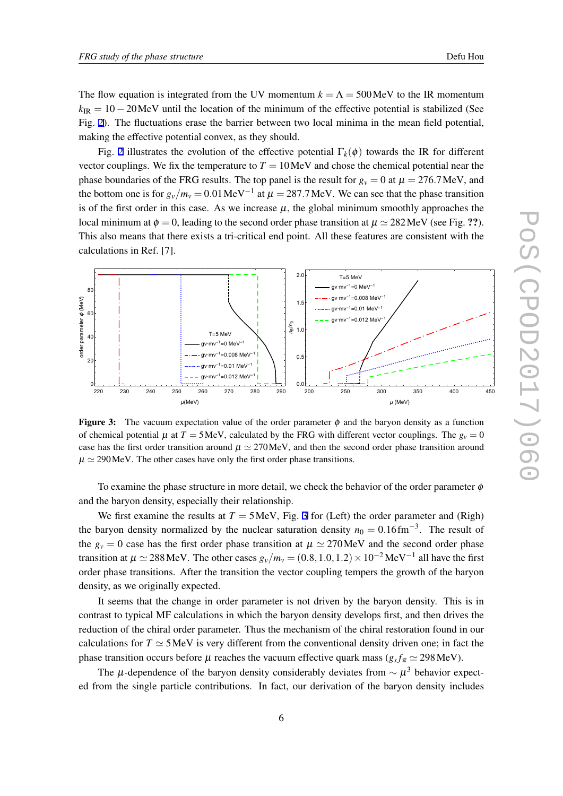The flow equation is integrated from the UV momentum  $k = \Lambda = 500$  MeV to the IR momentum  $k_{IR} = 10 - 20$  MeV until the location of the minimum of the effective potential is stabilized (See Fig. [2\)](#page-5-0). The fluctuations erase the barrier between two local minima in the mean field potential, making the effective potential convex, as they should.

Fig. [2](#page-5-0) illustrates the evolution of the effective potential  $\Gamma_k(\phi)$  towards the IR for different vector couplings. We fix the temperature to  $T = 10$  MeV and chose the chemical potential near the phase boundaries of the FRG results. The top panel is the result for  $g_y = 0$  at  $\mu = 276.7$  MeV, and the bottom one is for  $g_v/m_v = 0.01 \,\text{MeV}^{-1}$  at  $\mu = 287.7 \,\text{MeV}$ . We can see that the phase transition is of the first order in this case. As we increase  $\mu$ , the global minimum smoothly approaches the local minimum at  $\phi = 0$ , leading to the second order phase transition at  $\mu \approx 282 \text{ MeV}$  (see Fig. ??). This also means that there exists a tri-critical end point. All these features are consistent with the calculations in Ref. [7].



**Figure 3:** The vacuum expectation value of the order parameter  $\phi$  and the baryon density as a function of chemical potential  $\mu$  at  $T = 5$  MeV, calculated by the FRG with different vector couplings. The  $g_v = 0$ case has the first order transition around <sup>µ</sup> *≃* 270MeV, and then the second order phase transition around  $\mu \simeq 290$  MeV. The other cases have only the first order phase transitions.

To examine the phase structure in more detail, we check the behavior of the order parameter  $\phi$ and the baryon density, especially their relationship.

We first examine the results at  $T = 5$  MeV, Fig. 3 for (Left) the order parameter and (Righ) the baryon density normalized by the nuclear saturation density  $n_0 = 0.16 \text{fm}^{-3}$ . The result of the  $g_y = 0$  case has the first order phase transition at  $\mu \approx 270$  MeV and the second order phase transition at  $\mu \simeq 288$  MeV. The other cases  $g_v/m_v = (0.8, 1.0, 1.2) \times 10^{-2}$  MeV<sup>-1</sup> all have the first order phase transitions. After the transition the vector coupling tempers the growth of the baryon density, as we originally expected.

It seems that the change in order parameter is not driven by the baryon density. This is in contrast to typical MF calculations in which the baryon density develops first, and then drives the reduction of the chiral order parameter. Thus the mechanism of the chiral restoration found in our calculations for  $T \simeq 5$  MeV is very different from the conventional density driven one; in fact the phase transition occurs before  $\mu$  reaches the vacuum effective quark mass ( $g_s f_\pi \simeq 298 \text{MeV}$ ).

The <sup>µ</sup>-dependence of the baryon density considerably deviates from *∼* <sup>µ</sup> <sup>3</sup> behavior expected from the single particle contributions. In fact, our derivation of the baryon density includes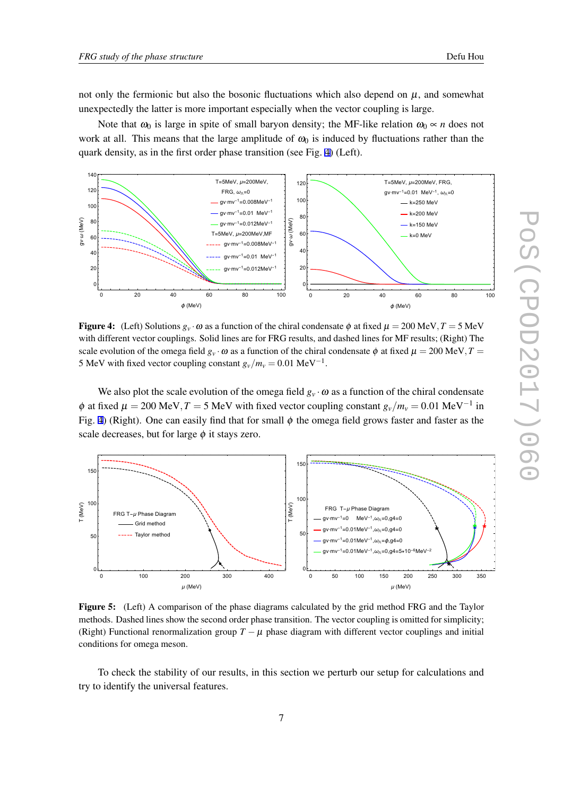<span id="page-7-0"></span>not only the fermionic but also the bosonic fluctuations which also depend on  $\mu$ , and somewhat unexpectedly the latter is more important especially when the vector coupling is large.

Note that  $\omega_0$  is large in spite of small baryon density; the MF-like relation  $\omega_0 \propto n$  does not work at all. This means that the large amplitude of  $\omega_0$  is induced by fluctuations rather than the quark density, as in the first order phase transition (see Fig. 4) (Left).



**Figure 4:** (Left) Solutions  $g_v \cdot \omega$  as a function of the chiral condensate  $\phi$  at fixed  $\mu = 200 \text{ MeV}, T = 5 \text{ MeV}$ with different vector couplings. Solid lines are for FRG results, and dashed lines for MF results; (Right) The scale evolution of the omega field  $g_y \cdot \omega$  as a function of the chiral condensate  $\phi$  at fixed  $\mu = 200 \text{ MeV}, T =$ 5 MeV with fixed vector coupling constant  $g_v/m_v = 0.01 \text{ MeV}^{-1}$ .

We also plot the scale evolution of the omega field  $g_v \cdot \omega$  as a function of the chiral condensate  $\phi$  at fixed  $\mu = 200 \text{ MeV}, T = 5 \text{ MeV}$  with fixed vector coupling constant  $g_v/m_v = 0.01 \text{ MeV}^{-1}$  in Fig. 4) (Right). One can easily find that for small  $\phi$  the omega field grows faster and faster as the scale decreases, but for large  $\phi$  it stays zero.



Figure 5: (Left) A comparison of the phase diagrams calculated by the grid method FRG and the Taylor methods. Dashed lines show the second order phase transition. The vector coupling is omitted for simplicity; (Right) Functional renormalization group  $T - \mu$  phase diagram with different vector couplings and initial conditions for omega meson.

To check the stability of our results, in this section we perturb our setup for calculations and try to identify the universal features.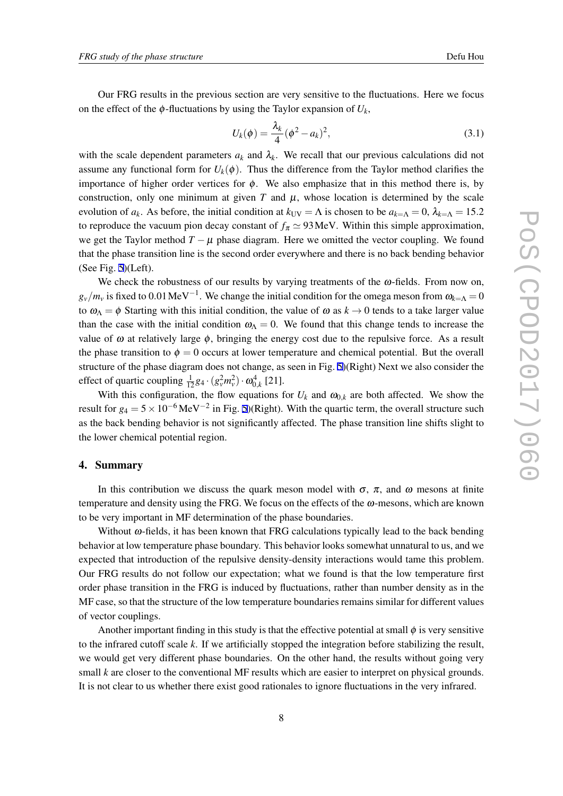Our FRG results in the previous section are very sensitive to the fluctuations. Here we focus on the effect of the  $\phi$ -fluctuations by using the Taylor expansion of  $U_k$ ,

$$
U_k(\phi) = \frac{\lambda_k}{4} (\phi^2 - a_k)^2,
$$
\n(3.1)

with the scale dependent parameters  $a_k$  and  $\lambda_k$ . We recall that our previous calculations did not assume any functional form for  $U_k(\phi)$ . Thus the difference from the Taylor method clarifies the importance of higher order vertices for  $\phi$ . We also emphasize that in this method there is, by construction, only one minimum at given  $T$  and  $\mu$ , whose location is determined by the scale evolution of *a<sub>k</sub>*. As before, the initial condition at  $k_{UV} = \Lambda$  is chosen to be  $a_{k=\Lambda} = 0$ ,  $\lambda_{k=\Lambda} = 15.2$ to reproduce the vacuum pion decay constant of  $f_{\pi} \simeq 93 \text{ MeV}$ . Within this simple approximation, we get the Taylor method  $T - \mu$  phase diagram. Here we omitted the vector coupling. We found that the phase transition line is the second order everywhere and there is no back bending behavior (See Fig. [5\)](#page-7-0)(Left).

We check the robustness of our results by varying treatments of the  $\omega$ -fields. From now on,  $g_{\nu}/m_{\nu}$  is fixed to 0.01 MeV<sup>−1</sup>. We change the initial condition for the omega meson from  $\omega_{k=\Lambda} = 0$ to  $\omega_{\Lambda} = \phi$  Starting with this initial condition, the value of  $\omega$  as  $k \to 0$  tends to a take larger value than the case with the initial condition  $\omega_{\Lambda} = 0$ . We found that this change tends to increase the value of  $\omega$  at relatively large  $\phi$ , bringing the energy cost due to the repulsive force. As a result the phase transition to  $\phi = 0$  occurs at lower temperature and chemical potential. But the overall structure of the phase diagram does not change, as seen in Fig. [5](#page-7-0))(Right) Next we also consider the effect of quartic coupling  $\frac{1}{12}g_4 \cdot (g_v^2 m_v^2) \cdot \omega_{0,k}^4$  [21].

With this configuration, the flow equations for  $U_k$  and  $\omega_{0,k}$  are both affected. We show the result for *<sup>g</sup>*<sup>4</sup> <sup>=</sup> <sup>5</sup>*×*10*−*<sup>6</sup> MeV*−*<sup>2</sup> in Fig. [5\)](#page-7-0)(Right). With the quartic term, the overall structure such as the back bending behavior is not significantly affected. The phase transition line shifts slight to the lower chemical potential region.

#### 4. Summary

In this contribution we discuss the quark meson model with  $\sigma$ ,  $\pi$ , and  $\omega$  mesons at finite temperature and density using the FRG. We focus on the effects of the  $\omega$ -mesons, which are known to be very important in MF determination of the phase boundaries.

Without  $\omega$ -fields, it has been known that FRG calculations typically lead to the back bending behavior at low temperature phase boundary. This behavior looks somewhat unnatural to us, and we expected that introduction of the repulsive density-density interactions would tame this problem. Our FRG results do not follow our expectation; what we found is that the low temperature first order phase transition in the FRG is induced by fluctuations, rather than number density as in the MF case, so that the structure of the low temperature boundaries remains similar for different values of vector couplings.

Another important finding in this study is that the effective potential at small  $\phi$  is very sensitive to the infrared cutoff scale *k*. If we artificially stopped the integration before stabilizing the result, we would get very different phase boundaries. On the other hand, the results without going very small *k* are closer to the conventional MF results which are easier to interpret on physical grounds. It is not clear to us whether there exist good rationales to ignore fluctuations in the very infrared.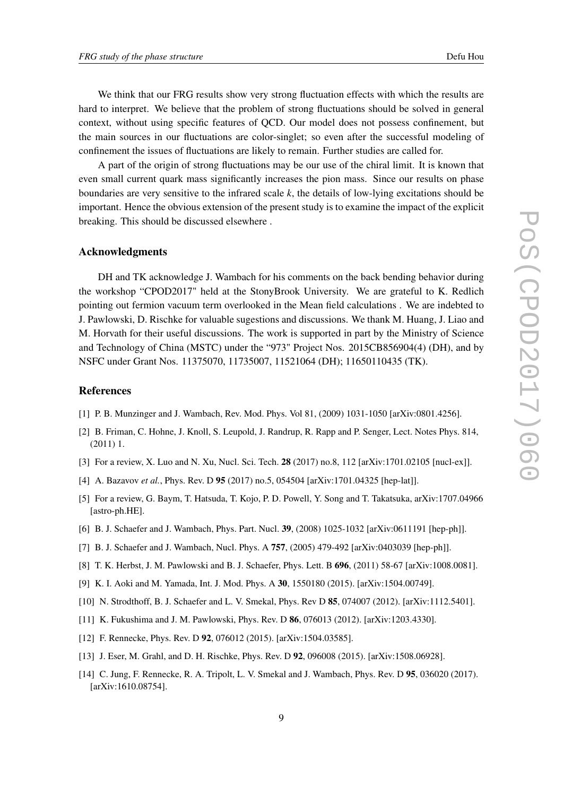We think that our FRG results show very strong fluctuation effects with which the results are hard to interpret. We believe that the problem of strong fluctuations should be solved in general context, without using specific features of QCD. Our model does not possess confinement, but the main sources in our fluctuations are color-singlet; so even after the successful modeling of confinement the issues of fluctuations are likely to remain. Further studies are called for.

A part of the origin of strong fluctuations may be our use of the chiral limit. It is known that even small current quark mass significantly increases the pion mass. Since our results on phase boundaries are very sensitive to the infrared scale *k*, the details of low-lying excitations should be important. Hence the obvious extension of the present study is to examine the impact of the explicit breaking. This should be discussed elsewhere .

#### Acknowledgments

DH and TK acknowledge J. Wambach for his comments on the back bending behavior during the workshop "CPOD2017" held at the StonyBrook University. We are grateful to K. Redlich pointing out fermion vacuum term overlooked in the Mean field calculations . We are indebted to J. Pawlowski, D. Rischke for valuable sugestions and discussions. We thank M. Huang, J. Liao and M. Horvath for their useful discussions. The work is supported in part by the Ministry of Science and Technology of China (MSTC) under the "973" Project Nos. 2015CB856904(4) (DH), and by NSFC under Grant Nos. 11375070, 11735007, 11521064 (DH); 11650110435 (TK).

### References

- [1] P. B. Munzinger and J. Wambach, Rev. Mod. Phys. Vol 81, (2009) 1031-1050 [arXiv:0801.4256].
- [2] B. Friman, C. Hohne, J. Knoll, S. Leupold, J. Randrup, R. Rapp and P. Senger, Lect. Notes Phys. 814, (2011) 1.
- [3] For a review, X. Luo and N. Xu, Nucl. Sci. Tech. **28** (2017) no.8, 112 [arXiv:1701.02105 [nucl-ex]].
- [4] A. Bazavov *et al.*, Phys. Rev. D 95 (2017) no.5, 054504 [arXiv:1701.04325 [hep-lat]].
- [5] For a review, G. Baym, T. Hatsuda, T. Kojo, P. D. Powell, Y. Song and T. Takatsuka, arXiv:1707.04966 [astro-ph.HE].
- [6] B. J. Schaefer and J. Wambach, Phys. Part. Nucl. 39, (2008) 1025-1032 [arXiv:0611191 [hep-ph]].
- [7] B. J. Schaefer and J. Wambach, Nucl. Phys. A 757, (2005) 479-492 [arXiv:0403039 [hep-ph]].
- [8] T. K. Herbst, J. M. Pawlowski and B. J. Schaefer, Phys. Lett. B 696, (2011) 58-67 [arXiv:1008.0081].
- [9] K. I. Aoki and M. Yamada, Int. J. Mod. Phys. A 30, 1550180 (2015). [arXiv:1504.00749].
- [10] N. Strodthoff, B. J. Schaefer and L. V. Smekal, Phys. Rev D 85, 074007 (2012). [arXiv:1112.5401].
- [11] K. Fukushima and J. M. Pawlowski, Phys. Rev. D 86, 076013 (2012). [arXiv:1203.4330].
- [12] F. Rennecke, Phys. Rev. D 92, 076012 (2015). [arXiv:1504.03585].
- [13] J. Eser, M. Grahl, and D. H. Rischke, Phys. Rev. D 92, 096008 (2015). [arXiv:1508.06928].
- [14] C. Jung, F. Rennecke, R. A. Tripolt, L. V. Smekal and J. Wambach, Phys. Rev. D 95, 036020 (2017). [arXiv:1610.08754].